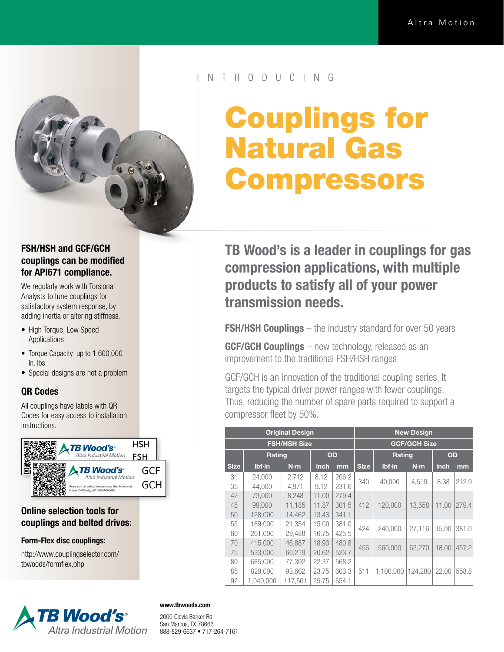

### FSH/HSH and GCF/GCH couplings can be modified for API671 compliance.

We regularly work with Torsional Analysts to tune couplings for satisfactory system response, by adding inertia or altering stiffness.

- High Torque, Low Speed Applications
- Torque Capacity up to 1,600,000 in. lbs.
- Special designs are not a problem

## QR Codes

All couplings have labels with QR Codes for easy access to installation instructions.



### Online selection tools for couplings and belted drives:

### Form-Flex disc couplings:

http://www.couplingselector.com/ tbwoods/formflex.php



### N T R O D U C I N G

# Couplings for Natural Gas Compressors

TB Wood's is a leader in couplings for gas compression applications, with multiple products to satisfy all of your power transmission needs.

**FSH/HSH Couplings** – the industry standard for over 50 years

**GCF/GCH Couplings** – new technology, released as an improvement to the traditional FSH/HSH ranges

GCF/GCH is an innovation of the traditional coupling series. It targets the typical driver power ranges with fewer couplings. Thus, reducing the number of spare parts required to support a compressor fleet by 50%.

| <b>Original Design</b> |           |         |       |       | <b>New Design</b>   |           |         |       |       |
|------------------------|-----------|---------|-------|-------|---------------------|-----------|---------|-------|-------|
| <b>FSH/HSH Size</b>    |           |         |       |       | <b>GCF/GCH Size</b> |           |         |       |       |
|                        | Rating    |         | OD    |       |                     | Rating    |         | OD    |       |
| <b>Size</b>            | $Ibf$ -in | N·m     | inch  | mm    | <b>Size</b>         | $Ibf$ -in | N·m     | inch  | mm    |
| 31                     | 24,000    | 2,712   | 8.12  | 206.2 | 340                 | 40,000    | 4,519   | 8.38  | 212.9 |
| 35                     | 44,000    | 4.971   | 9.12  | 231.6 |                     |           |         |       |       |
| 42                     | 73,000    | 8.248   | 11.00 | 279.4 | 412                 | 120,000   | 13,558  | 11.00 | 279.4 |
| 45                     | 99,000    | 11,185  | 11.87 | 301.5 |                     |           |         |       |       |
| 50                     | 128,000   | 14.462  | 13.43 | 341.1 |                     |           |         |       |       |
| 55                     | 189,000   | 21,354  | 15.00 | 381.0 | 424                 | 240,000   | 27.116  | 15.00 | 381.0 |
| 60                     | 261,000   | 29.488  | 16.75 | 425.5 |                     |           |         |       |       |
| 70                     | 415,000   | 46,887  | 18.93 | 480.8 | 456                 | 560,000   | 63.270  | 18.00 | 457.2 |
| 75                     | 533,000   | 60.219  | 20.62 | 523.7 |                     |           |         |       |       |
| 80                     | 685,000   | 77,392  | 22.37 | 568.2 | 511                 | 1.100.000 | 124.280 | 22.00 | 558.8 |
| 85                     | 829,000   | 93,662  | 23.75 | 603.3 |                     |           |         |       |       |
| 92                     | 1.040.000 | 117.501 | 25.75 | 654.1 |                     |           |         |       |       |

### www.tbwoods.com

2000 Clovis Barker Rd. San Marcos, TX 78666 888-829-6637 • 717-264-7161